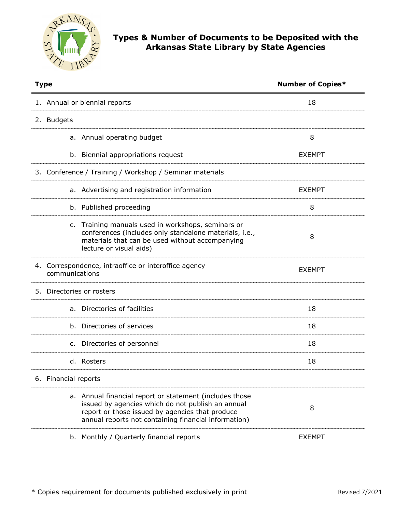

## **Types & Number of Documents to be Deposited with the Arkansas State Library by State Agencies**

| <b>Type</b>                                                                                                                                                                                                             | <b>Number of Copies*</b> |
|-------------------------------------------------------------------------------------------------------------------------------------------------------------------------------------------------------------------------|--------------------------|
| 1. Annual or biennial reports                                                                                                                                                                                           | 18                       |
| 2. Budgets                                                                                                                                                                                                              |                          |
| a. Annual operating budget                                                                                                                                                                                              | 8                        |
| b. Biennial appropriations request                                                                                                                                                                                      | <b>EXEMPT</b>            |
| 3. Conference / Training / Workshop / Seminar materials                                                                                                                                                                 |                          |
| a. Advertising and registration information                                                                                                                                                                             | <b>EXEMPT</b>            |
| b. Published proceeding                                                                                                                                                                                                 | 8                        |
| c. Training manuals used in workshops, seminars or<br>conferences (includes only standalone materials, i.e.,<br>materials that can be used without accompanying<br>lecture or visual aids)                              | 8                        |
| 4. Correspondence, intraoffice or interoffice agency<br>communications                                                                                                                                                  | <b>EXEMPT</b>            |
| 5. Directories or rosters                                                                                                                                                                                               |                          |
| a. Directories of facilities                                                                                                                                                                                            | 18                       |
| b. Directories of services                                                                                                                                                                                              | 18                       |
| c. Directories of personnel                                                                                                                                                                                             | 18                       |
| d. Rosters                                                                                                                                                                                                              | 18                       |
| 6. Financial reports                                                                                                                                                                                                    |                          |
| a. Annual financial report or statement (includes those<br>issued by agencies which do not publish an annual<br>report or those issued by agencies that produce<br>annual reports not containing financial information) | 8                        |
| b. Monthly / Quarterly financial reports                                                                                                                                                                                | <b>EXEMPT</b>            |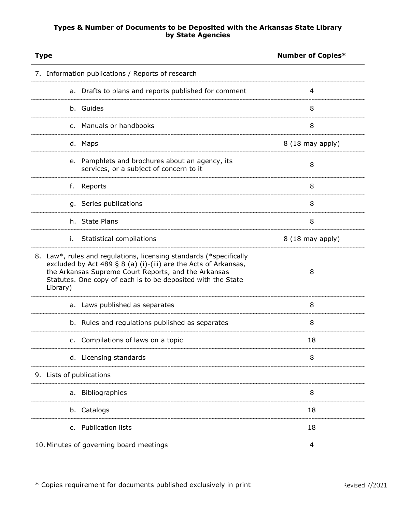## **Types & Number of Documents to be Deposited with the Arkansas State Library by State Agencies**

| <b>Type</b>                                                                                                                                                                                                                                                               | <b>Number of Copies*</b> |
|---------------------------------------------------------------------------------------------------------------------------------------------------------------------------------------------------------------------------------------------------------------------------|--------------------------|
| 7. Information publications / Reports of research                                                                                                                                                                                                                         |                          |
| a. Drafts to plans and reports published for comment                                                                                                                                                                                                                      | 4                        |
| b. Guides                                                                                                                                                                                                                                                                 | 8                        |
| c. Manuals or handbooks                                                                                                                                                                                                                                                   | 8                        |
| d. Maps                                                                                                                                                                                                                                                                   | 8 (18 may apply)         |
| e. Pamphlets and brochures about an agency, its<br>services, or a subject of concern to it                                                                                                                                                                                | 8                        |
| f.<br>Reports                                                                                                                                                                                                                                                             | 8                        |
| g. Series publications                                                                                                                                                                                                                                                    | 8                        |
| h. State Plans                                                                                                                                                                                                                                                            | 8                        |
| Statistical compilations<br>İ.                                                                                                                                                                                                                                            | 8 (18 may apply)         |
| 8. Law*, rules and regulations, licensing standards (*specifically<br>excluded by Act 489 § 8 (a) (i)-(iii) are the Acts of Arkansas,<br>the Arkansas Supreme Court Reports, and the Arkansas<br>Statutes. One copy of each is to be deposited with the State<br>Library) | 8                        |
| a. Laws published as separates                                                                                                                                                                                                                                            | 8                        |
| b. Rules and regulations published as separates                                                                                                                                                                                                                           | 8                        |
| Compilations of laws on a topic                                                                                                                                                                                                                                           | 18                       |
| d. Licensing standards                                                                                                                                                                                                                                                    | 8                        |
| 9. Lists of publications                                                                                                                                                                                                                                                  |                          |
| a. Bibliographies                                                                                                                                                                                                                                                         | 8                        |
| Catalogs<br>b.                                                                                                                                                                                                                                                            | 18                       |
| <b>Publication lists</b><br>c.                                                                                                                                                                                                                                            | 18                       |
| 10. Minutes of governing board meetings                                                                                                                                                                                                                                   | 4                        |